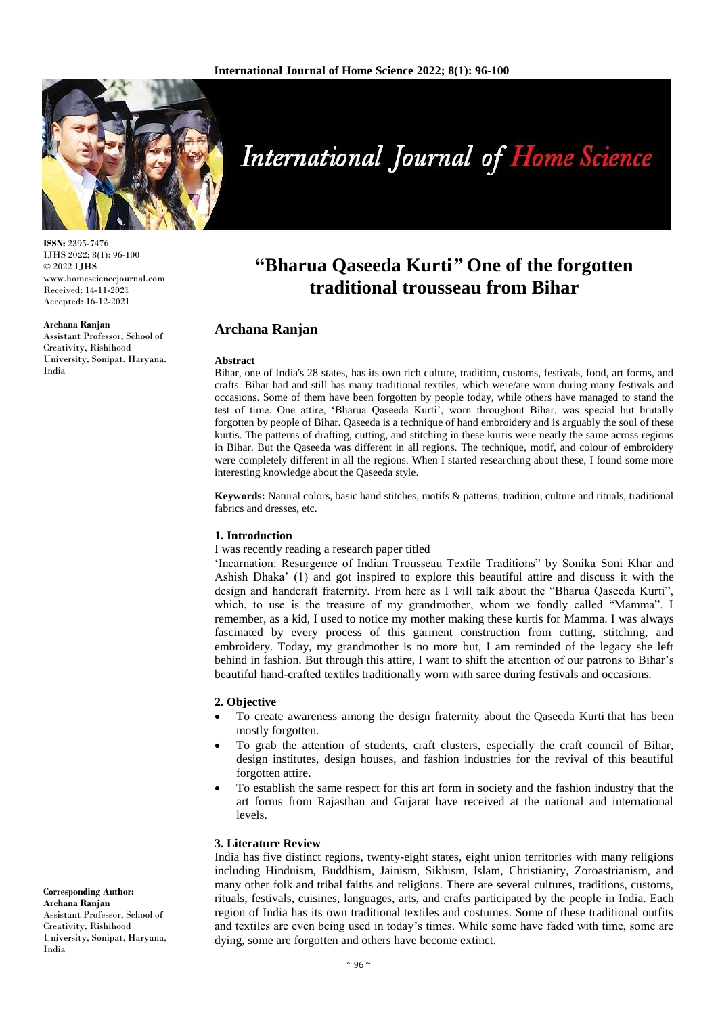

**ISSN:** 2395-7476 IJHS 2022; 8(1): 96-100 © 2022 IJHS www.homesciencejournal.com Received: 14-11-2021 Accepted: 16-12-2021

#### **Archana Ranjan**

Assistant Professor, School of Creativity, Rishihood University, Sonipat, Haryana, India

**International Journal of Home Science** 

# **"Bharua Qaseeda Kurti***"* **One of the forgotten traditional trousseau from Bihar**

# **Archana Ranjan**

### **Abstract**

Bihar, one of India's 28 states, has its own rich culture, tradition, customs, festivals, food, art forms, and crafts. Bihar had and still has many traditional textiles, which were/are worn during many festivals and occasions. Some of them have been forgotten by people today, while others have managed to stand the test of time. One attire, 'Bharua Qaseeda Kurti', worn throughout Bihar, was special but brutally forgotten by people of Bihar. Qaseeda is a technique of hand embroidery and is arguably the soul of these kurtis. The patterns of drafting, cutting, and stitching in these kurtis were nearly the same across regions in Bihar. But the Qaseeda was different in all regions. The technique, motif, and colour of embroidery were completely different in all the regions. When I started researching about these, I found some more interesting knowledge about the Qaseeda style.

**Keywords:** Natural colors, basic hand stitches, motifs & patterns, tradition, culture and rituals, traditional fabrics and dresses, etc.

# **1. Introduction**

## I was recently reading a research paper titled

'Incarnation: Resurgence of Indian Trousseau Textile Traditions" by Sonika Soni Khar and Ashish Dhaka' (1) and got inspired to explore this beautiful attire and discuss it with the design and handcraft fraternity. From here as I will talk about the "Bharua Qaseeda Kurti", which, to use is the treasure of my grandmother, whom we fondly called "Mamma". I remember, as a kid, I used to notice my mother making these kurtis for Mamma. I was always fascinated by every process of this garment construction from cutting, stitching, and embroidery. Today, my grandmother is no more but, I am reminded of the legacy she left behind in fashion. But through this attire, I want to shift the attention of our patrons to Bihar's beautiful hand-crafted textiles traditionally worn with saree during festivals and occasions.

### **2. Objective**

- To create awareness among the design fraternity about the Qaseeda Kurti that has been mostly forgotten.
- To grab the attention of students, craft clusters, especially the craft council of Bihar, design institutes, design houses, and fashion industries for the revival of this beautiful forgotten attire.
- To establish the same respect for this art form in society and the fashion industry that the art forms from Rajasthan and Gujarat have received at the national and international levels.

## **3. Literature Review**

India has five distinct regions, twenty-eight states, eight union territories with many religions including Hinduism, Buddhism, Jainism, Sikhism, Islam, Christianity, Zoroastrianism, and many other folk and tribal faiths and religions. There are several cultures, traditions, customs, rituals, festivals, cuisines, languages, arts, and crafts participated by the people in India. Each region of India has its own traditional textiles and costumes. Some of these traditional outfits and textiles are even being used in today's times. While some have faded with time, some are dying, some are forgotten and others have become extinct.

**Corresponding Author: Archana Ranjan** Assistant Professor, School of Creativity, Rishihood University, Sonipat, Haryana, India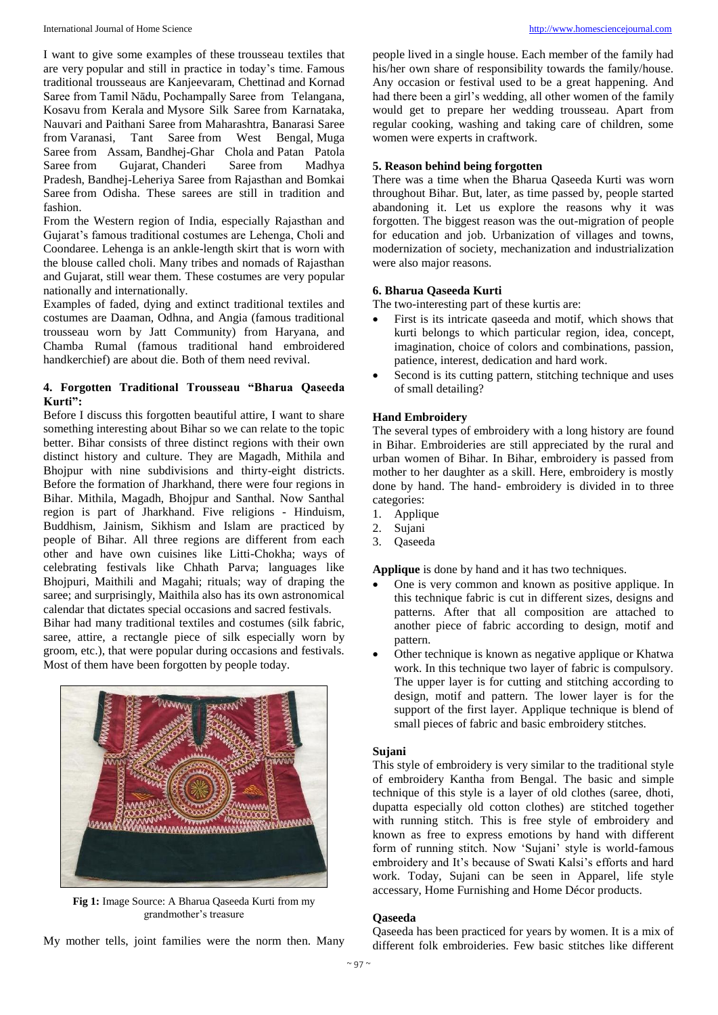I want to give some examples of these trousseau textiles that are very popular and still in practice in today's time. Famous traditional trousseaus are Kanjeevaram, Chettinad and Kornad Saree from Tamil Nādu, Pochampally Saree from Telangana, Kosavu from Kerala and Mysore Silk Saree from Karnataka, Nauvari and Paithani Saree from Maharashtra, Banarasi Saree from Varanasi, Tant Saree from West Bengal, Muga Saree from Assam, Bandhej-Ghar Chola and Patan Patola Saree from Gujarat, Chanderi Saree from Madhya Pradesh, Bandhej-Leheriya Saree from Rajasthan and Bomkai Saree from Odisha. These sarees are still in tradition and fashion.

From the Western region of India, especially Rajasthan and Gujarat's famous traditional costumes are Lehenga, Choli and Coondaree. Lehenga is an ankle-length skirt that is worn with the blouse called choli. Many tribes and nomads of Rajasthan and Gujarat, still wear them. These costumes are very popular nationally and internationally.

Examples of faded, dying and extinct traditional textiles and costumes are Daaman, Odhna, and Angia (famous traditional trousseau worn by Jatt Community) from Haryana, and Chamba Rumal (famous traditional hand embroidered handkerchief) are about die. Both of them need revival.

# **4. Forgotten Traditional Trousseau "Bharua Qaseeda Kurti":**

Before I discuss this forgotten beautiful attire, I want to share something interesting about Bihar so we can relate to the topic better. Bihar consists of three distinct regions with their own distinct history and culture. They are Magadh, Mithila and Bhojpur with nine subdivisions and thirty-eight districts. Before the formation of Jharkhand, there were four regions in Bihar. Mithila, Magadh, Bhojpur and Santhal. Now Santhal region is part of Jharkhand. Five religions - Hinduism, Buddhism, Jainism, Sikhism and Islam are practiced by people of Bihar. All three regions are different from each other and have own cuisines like Litti-Chokha; ways of celebrating festivals like Chhath Parva; languages like Bhojpuri, Maithili and Magahi; rituals; way of draping the saree; and surprisingly, Maithila also has its own astronomical calendar that dictates special occasions and sacred festivals.

Bihar had many traditional textiles and costumes (silk fabric, saree, attire, a rectangle piece of silk especially worn by groom, etc.), that were popular during occasions and festivals. Most of them have been forgotten by people today.



**Fig 1:** Image Source: A Bharua Qaseeda Kurti from my grandmother's treasure

My mother tells, joint families were the norm then. Many

people lived in a single house. Each member of the family had his/her own share of responsibility towards the family/house. Any occasion or festival used to be a great happening. And had there been a girl's wedding, all other women of the family would get to prepare her wedding trousseau. Apart from regular cooking, washing and taking care of children, some women were experts in craftwork.

# **5. Reason behind being forgotten**

There was a time when the Bharua Qaseeda Kurti was worn throughout Bihar. But, later, as time passed by, people started abandoning it. Let us explore the reasons why it was forgotten. The biggest reason was the out-migration of people for education and job. Urbanization of villages and towns, modernization of society, mechanization and industrialization were also major reasons.

# **6. Bharua Qaseeda Kurti**

The two-interesting part of these kurtis are:

- First is its intricate qaseeda and motif, which shows that kurti belongs to which particular region, idea, concept, imagination, choice of colors and combinations, passion, patience, interest, dedication and hard work.
- Second is its cutting pattern, stitching technique and uses of small detailing?

# **Hand Embroidery**

The several types of embroidery with a long history are found in Bihar. Embroideries are still appreciated by the rural and urban women of Bihar. In Bihar, embroidery is passed from mother to her daughter as a skill. Here, embroidery is mostly done by hand. The hand- embroidery is divided in to three categories:

- 1. Applique
- 2. Sujani
- 3. Qaseeda

**Applique** is done by hand and it has two techniques.

- One is very common and known as positive applique. In this technique fabric is cut in different sizes, designs and patterns. After that all composition are attached to another piece of fabric according to design, motif and pattern.
- Other technique is known as negative applique or Khatwa work. In this technique two layer of fabric is compulsory. The upper layer is for cutting and stitching according to design, motif and pattern. The lower layer is for the support of the first layer. Applique technique is blend of small pieces of fabric and basic embroidery stitches.

## **Sujani**

This style of embroidery is very similar to the traditional style of embroidery Kantha from Bengal. The basic and simple technique of this style is a layer of old clothes (saree, dhoti, dupatta especially old cotton clothes) are stitched together with running stitch. This is free style of embroidery and known as free to express emotions by hand with different form of running stitch. Now 'Sujani' style is world-famous embroidery and It's because of Swati Kalsi's efforts and hard work. Today, Sujani can be seen in Apparel, life style accessary, Home Furnishing and Home Décor products.

## **Qaseeda**

Qaseeda has been practiced for years by women. It is a mix of different folk embroideries. Few basic stitches like different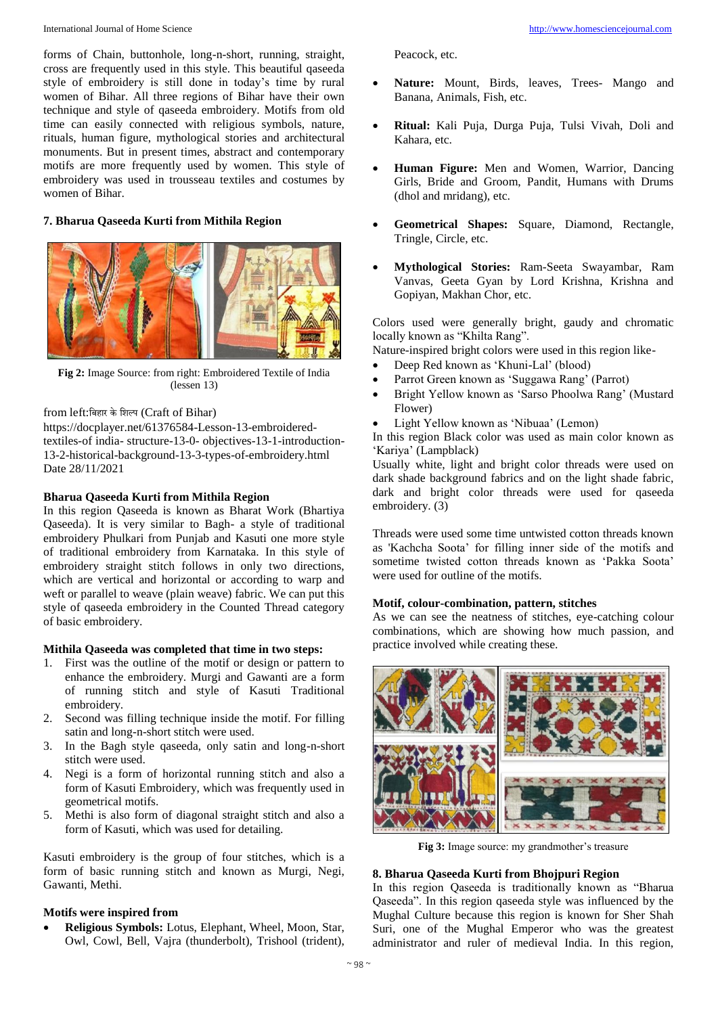forms of Chain, buttonhole, long-n-short, running, straight, cross are frequently used in this style. This beautiful qaseeda style of embroidery is still done in today's time by rural women of Bihar. All three regions of Bihar have their own technique and style of qaseeda embroidery. Motifs from old time can easily connected with religious symbols, nature, rituals, human figure, mythological stories and architectural monuments. But in present times, abstract and contemporary motifs are more frequently used by women. This style of embroidery was used in trousseau textiles and costumes by women of Bihar.

# **7. Bharua Qaseeda Kurti from Mithila Region**



**Fig 2:** Image Source: from right: Embroidered Textile of India (lessen 13)

## from left:बिहार के शिल्प (Craft of Bihar)

https://docplayer.net/61376584-Lesson-13-embroideredtextiles-of india- structure-13-0- objectives-13-1-introduction-13-2-historical-background-13-3-types-of-embroidery.html Date 28/11/2021

## **Bharua Qaseeda Kurti from Mithila Region**

In this region Qaseeda is known as Bharat Work (Bhartiya Qaseeda). It is very similar to Bagh- a style of traditional embroidery Phulkari from Punjab and Kasuti one more style of traditional embroidery from Karnataka. In this style of embroidery straight stitch follows in only two directions, which are vertical and horizontal or according to warp and weft or parallel to weave (plain weave) fabric. We can put this style of qaseeda embroidery in the Counted Thread category of basic embroidery.

## **Mithila Qaseeda was completed that time in two steps:**

- 1. First was the outline of the motif or design or pattern to enhance the embroidery. Murgi and Gawanti are a form of running stitch and style of Kasuti Traditional embroidery.
- 2. Second was filling technique inside the motif. For filling satin and long-n-short stitch were used.
- 3. In the Bagh style qaseeda, only satin and long-n-short stitch were used.
- 4. Negi is a form of horizontal running stitch and also a form of Kasuti Embroidery, which was frequently used in geometrical motifs.
- 5. Methi is also form of diagonal straight stitch and also a form of Kasuti, which was used for detailing.

Kasuti embroidery is the group of four stitches, which is a form of basic running stitch and known as Murgi, Negi, Gawanti, Methi.

### **Motifs were inspired from**

 **Religious Symbols:** Lotus, Elephant, Wheel, Moon, Star, Owl, Cowl, Bell, Vajra (thunderbolt), Trishool (trident),

Peacock, etc.

- **Nature:** Mount, Birds, leaves, Trees- Mango and Banana, Animals, Fish, etc.
- **Ritual:** Kali Puja, Durga Puja, Tulsi Vivah, Doli and Kahara, etc.
- **Human Figure:** Men and Women, Warrior, Dancing Girls, Bride and Groom, Pandit, Humans with Drums (dhol and mridang), etc.
- **Geometrical Shapes:** Square, Diamond, Rectangle, Tringle, Circle, etc.
- **Mythological Stories:** Ram-Seeta Swayambar, Ram Vanvas, Geeta Gyan by Lord Krishna, Krishna and Gopiyan, Makhan Chor, etc.

Colors used were generally bright, gaudy and chromatic locally known as "Khilta Rang".

Nature-inspired bright colors were used in this region like-

- Deep Red known as 'Khuni-Lal' (blood)
- Parrot Green known as 'Suggawa Rang' (Parrot)
- Bright Yellow known as 'Sarso Phoolwa Rang' (Mustard Flower)
- Light Yellow known as 'Nibuaa' (Lemon)

In this region Black color was used as main color known as 'Kariya' (Lampblack)

Usually white, light and bright color threads were used on dark shade background fabrics and on the light shade fabric, dark and bright color threads were used for qaseeda embroidery. (3)

Threads were used some time untwisted cotton threads known as 'Kachcha Soota' for filling inner side of the motifs and sometime twisted cotton threads known as 'Pakka Soota' were used for outline of the motifs.

# **Motif, colour-combination, pattern, stitches**

As we can see the neatness of stitches, eye-catching colour combinations, which are showing how much passion, and practice involved while creating these.



**Fig 3:** Image source: my grandmother's treasure

## **8. Bharua Qaseeda Kurti from Bhojpuri Region**

In this region Qaseeda is traditionally known as "Bharua Qaseeda". In this region qaseeda style was influenced by the Mughal Culture because this region is known for Sher Shah Suri, one of the Mughal Emperor who was the greatest administrator and ruler of medieval India. In this region,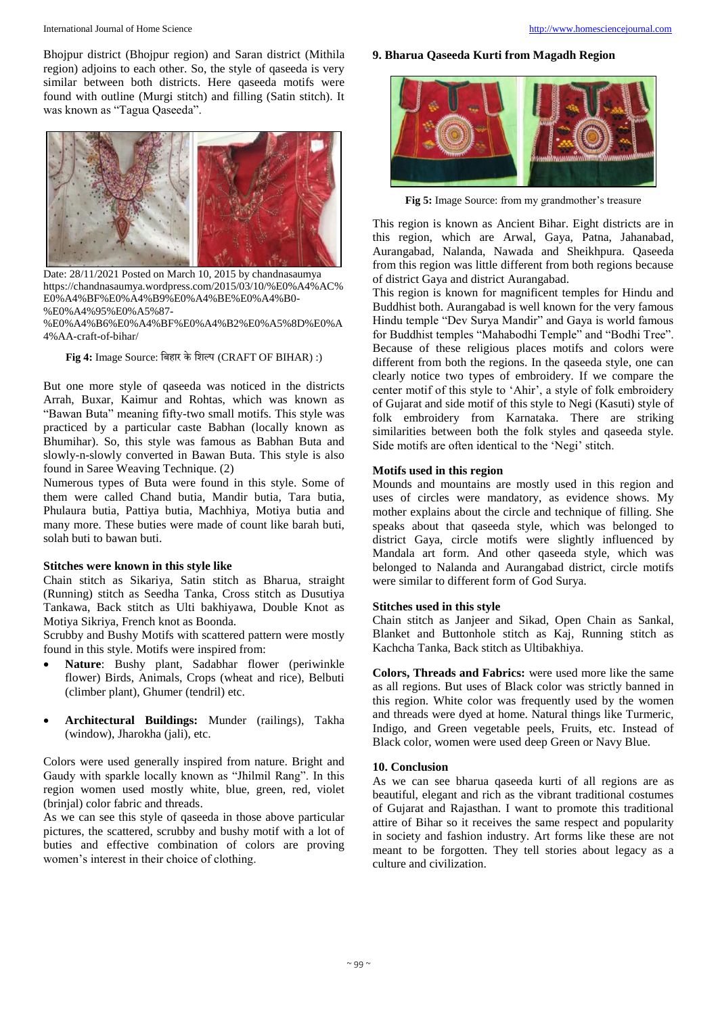Bhojpur district (Bhojpur region) and Saran district (Mithila region) adjoins to each other. So, the style of qaseeda is very similar between both districts. Here qaseeda motifs were found with outline (Murgi stitch) and filling (Satin stitch). It was known as "Tagua Qaseeda".



Date: 28/11/2021 Posted on March 10, 2015 by chandnasaumya https://chandnasaumya.wordpress.com/2015/03/10/%E0%A4%AC% E0%A4%BF%E0%A4%B9%E0%A4%BE%E0%A4%B0- %E0%A4%95%E0%A5%87-

%E0%A4%B6%E0%A4%BF%E0%A4%B2%E0%A5%8D%E0%A 4%AA-craft-of-bihar/

**Fig 4:** Image Source: बिहार केबिल्प (CRAFT OF BIHAR) :)

But one more style of qaseeda was noticed in the districts Arrah, Buxar, Kaimur and Rohtas, which was known as "Bawan Buta" meaning fifty-two small motifs. This style was practiced by a particular caste Babhan (locally known as Bhumihar). So, this style was famous as Babhan Buta and slowly-n-slowly converted in Bawan Buta. This style is also found in Saree Weaving Technique. (2)

Numerous types of Buta were found in this style. Some of them were called Chand butia, Mandir butia, Tara butia, Phulaura butia, Pattiya butia, Machhiya, Motiya butia and many more. These buties were made of count like barah buti, solah buti to bawan buti.

## **Stitches were known in this style like**

Chain stitch as Sikariya, Satin stitch as Bharua, straight (Running) stitch as Seedha Tanka, Cross stitch as Dusutiya Tankawa, Back stitch as Ulti bakhiyawa, Double Knot as Motiya Sikriya, French knot as Boonda.

Scrubby and Bushy Motifs with scattered pattern were mostly found in this style. Motifs were inspired from:

- **Nature**: Bushy plant, Sadabhar flower (periwinkle flower) Birds, Animals, Crops (wheat and rice), Belbuti (climber plant), Ghumer (tendril) etc.
- **Architectural Buildings:** Munder (railings), Takha (window), Jharokha (jali), etc.

Colors were used generally inspired from nature. Bright and Gaudy with sparkle locally known as "Jhilmil Rang". In this region women used mostly white, blue, green, red, violet (brinjal) color fabric and threads.

As we can see this style of qaseeda in those above particular pictures, the scattered, scrubby and bushy motif with a lot of buties and effective combination of colors are proving women's interest in their choice of clothing.

# **9. Bharua Qaseeda Kurti from Magadh Region**



**Fig 5:** Image Source: from my grandmother's treasure

This region is known as Ancient Bihar. Eight districts are in this region, which are Arwal, Gaya, Patna, Jahanabad, Aurangabad, Nalanda, Nawada and Sheikhpura. Qaseeda from this region was little different from both regions because of district Gaya and district Aurangabad.

This region is known for magnificent temples for Hindu and Buddhist both. Aurangabad is well known for the very famous Hindu temple "Dev Surya Mandir" and Gaya is world famous for Buddhist temples "Mahabodhi Temple" and "Bodhi Tree". Because of these religious places motifs and colors were different from both the regions. In the qaseeda style, one can clearly notice two types of embroidery. If we compare the center motif of this style to 'Ahir', a style of folk embroidery of Gujarat and side motif of this style to Negi (Kasuti) style of folk embroidery from Karnataka. There are striking similarities between both the folk styles and qaseeda style. Side motifs are often identical to the 'Negi' stitch.

# **Motifs used in this region**

Mounds and mountains are mostly used in this region and uses of circles were mandatory, as evidence shows. My mother explains about the circle and technique of filling. She speaks about that qaseeda style, which was belonged to district Gaya, circle motifs were slightly influenced by Mandala art form. And other qaseeda style, which was belonged to Nalanda and Aurangabad district, circle motifs were similar to different form of God Surya.

# **Stitches used in this style**

Chain stitch as Janjeer and Sikad, Open Chain as Sankal, Blanket and Buttonhole stitch as Kaj, Running stitch as Kachcha Tanka, Back stitch as Ultibakhiya.

**Colors, Threads and Fabrics:** were used more like the same as all regions. But uses of Black color was strictly banned in this region. White color was frequently used by the women and threads were dyed at home. Natural things like Turmeric, Indigo, and Green vegetable peels, Fruits, etc. Instead of Black color, women were used deep Green or Navy Blue.

## **10. Conclusion**

As we can see bharua qaseeda kurti of all regions are as beautiful, elegant and rich as the vibrant traditional costumes of Gujarat and Rajasthan. I want to promote this traditional attire of Bihar so it receives the same respect and popularity in society and fashion industry. Art forms like these are not meant to be forgotten. They tell stories about legacy as a culture and civilization.